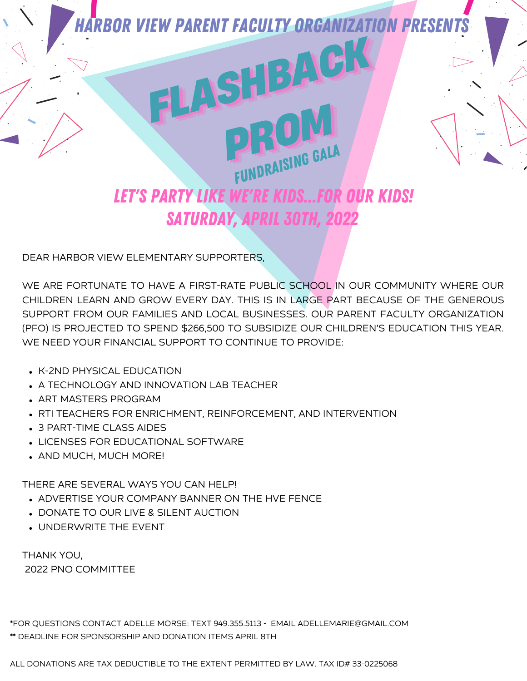

DEAR HARBOR VIEW ELEMENTARY SUPPORTERS,

WE ARE FORTUNATE TO HAVE A FIRST-RATE PUBLIC SCHOOL IN OUR COMMUNITY WHERE OUR CHILDREN LEARN AND GROW EVERY DAY. THIS IS IN LARGE PART BECAUSE OF THE GENEROUS SUPPORT FROM OUR FAMILIES AND LOCAL BUSINESSES. OUR PARENT FACULTY ORGANIZATION (PFO) IS PROJECTED TO SPEND \$266,500 TO SUBSIDIZE OUR CHILDREN'S EDUCATION THIS YEAR. WE NEED YOUR FINANCIAL SUPPORT TO CONTINUE TO PROVIDE:

- K-2ND PHYSICAL EDUCATION
- A TECHNOLOGY AND INNOVATION LAB TEACHER
- ART MASTERS PROGRAM
- . RTI TEACHERS FOR ENRICHMENT, REINFORCEMENT, AND INTERVENTION
- 3 PART-TIME CLASS AIDES
- LICENSES FOR EDUCATIONAL SOFTWARE
- AND MUCH, MUCH MORE!

THERE ARE SEVERAL WAYS YOU CAN HELP!

- ADVERTISE YOUR COMPANY BANNER ON THE HVE FENCE
- **DONATE TO OUR LIVE & SILENT AUCTION**
- UNDERWRITE THE EVENT

THANK YOU, 2022 PNO COMMITTEE

\*FOR QUESTIONS CONTACT ADELLE MORSE: TEXT 949.355.5113 - EMAIL ADELLEMARIE@GMAIL.COM \*\* DEADLINE FOR SPONSORSHIP AND DONATION ITEMS APRIL 8TH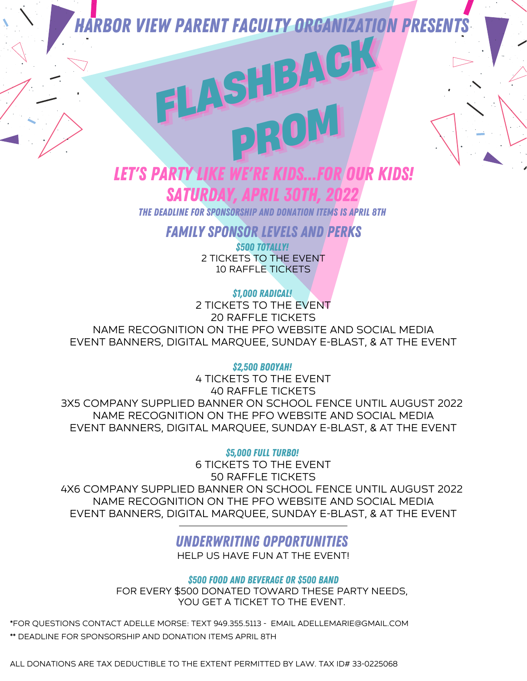*FLASHBACK FLASHBACK FLASHBACK*

*PROM*

### LET'S PARTY LIKE WE'RE KIDS...FOR OUR KIDS! SATURDA

THE Deadline for Sponsorship and donation items is april 8th

FAMILY SPONSOR LEVELS AND PERKS

\$500 TOTALLY! 2 TICKETS TO THE EVENT 10 RAFFLE TICKETS

\$1,000 RADICAL!

2 TICKETS TO THE EVENT 20 RAFFLE TICKETS NAME RECOGNITION ON THE PFO WEBSITE AND SOCIAL MEDIA EVENT BANNERS, DIGITAL MARQUEE, SUNDAY E-BLAST, & AT THE EVENT

\$2,500 BOOYAH!

4 TICKETS TO THE EVENT 40 RAFFLE TICKETS 3X5 COMPANY SUPPLIED BANNER ON SCHOOL FENCE UNTIL AUGUST 2022 NAME RECOGNITION ON THE PFO WEBSITE AND SOCIAL MEDIA EVENT BANNERS, DIGITAL MARQUEE, SUNDAY E-BLAST, & AT THE EVENT

**\$5,000 FULL TURBO!** 

6 TICKETS TO THE EVENT 50 RAFFLE TICKETS 4X6 COMPANY SUPPLIED BANNER ON SCHOOL FENCE UNTIL AUGUST 2022 NAME RECOGNITION ON THE PFO WEBSITE AND SOCIAL MEDIA EVENT BANNERS, DIGITAL MARQUEE, SUNDAY E-BLAST, & AT THE EVENT

### UNDERWRITING OPPORTUNITIES

HELP US HAVE FUN AT THE EVENT!

\$500 FOOD AND BEVERAGE OR \$500 BAND

FOR EVERY \$500 DONATED TOWARD THESE PARTY NEEDS, YOU GET A TICKET TO THE EVENT.

\*FOR QUESTIONS CONTACT ADELLE MORSE: TEXT 949.355.5113 - EMAIL ADELLEMARIE@GMAIL.COM \*\* DEADLINE FOR SPONSORSHIP AND DONATION ITEMS APRIL 8TH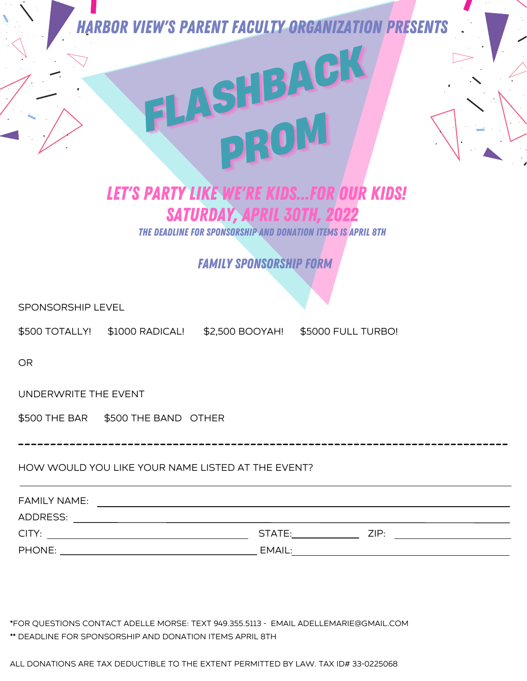*FLASHBACK FLASHBACK FLASHBACK*

## *PROM* LET'S PARTY LIKE WE'RE KIDS...FOR OUR KIDS! SATURDAY, APRIL 30TH, 20

THE Deadline for Sponsorship and donation items is april 8th

FAMILY SPONSORSHIP FORM

SPONSORSHIP LEVEL

\$500 TOTALLY! \$1000 RADICAL! \$2,500 BOOYAH! \$5000 FULL TURBO!

OR

UNDERWRITE THE EVENT

\$500 THE BAR \$500 THE BAND OTHER

HOW WOULD YOU LIKE YOUR NAME LISTED AT THE EVENT?

| <b>FAMILY NAME:</b> |        |      |
|---------------------|--------|------|
| ADDRESS:            |        |      |
| CITY:               | STATE: | ZIP: |
| PHONE:              | EMAIL: |      |

\*FOR QUESTIONS CONTACT ADELLE MORSE: TEXT 949.355.5113 - EMAIL ADELLEMARIE@GMAIL.COM \*\* DEADLINE FOR SPONSORSHIP AND DONATION ITEMS APRIL 8TH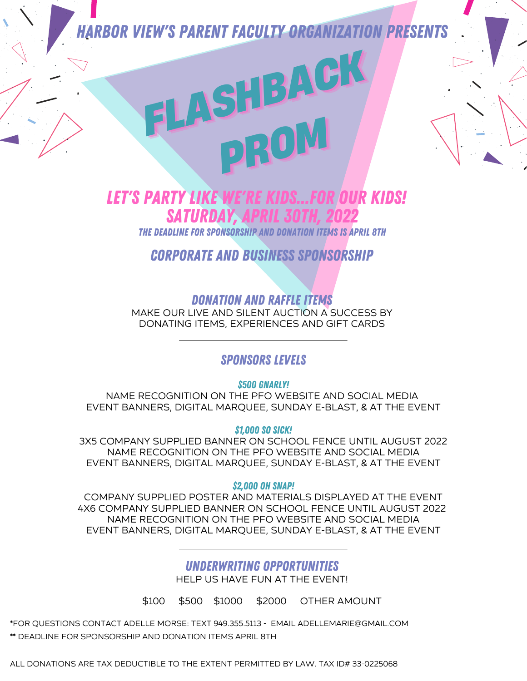# *FLASHBACK FLASHBACK FLASHBACK PROM*

### LET'S PARTY LIKE WE'RE KIDS...FOR OUR KIDS! **SATURDAY**

THE Deadline for Sponsorship and donation items is april 8th

CORPORATE AND BUSINESS SPONSORSHIP

DONATION AND RAFFLE ITEMS MAKE OUR LIVE AND SILENT AUCTION A SUCCESS BY DONATING ITEMS, EXPERIENCES AND GIFT CARDS

### SPONSORS LEVELS

*\$500 GNARLY!* 

NAME RECOGNITION ON THE PFO WEBSITE AND SOCIAL MEDIA EVENT BANNERS, DIGITAL MARQUEE, SUNDAY E-BLAST, & AT THE EVENT

\$1,000 SO SICK!

3X5 COMPANY SUPPLIED BANNER ON SCHOOL FENCE UNTIL AUGUST 2022 NAME RECOGNITION ON THE PFO WEBSITE AND SOCIAL MEDIA EVENT BANNERS, DIGITAL MARQUEE, SUNDAY E-BLAST, & AT THE EVENT

\$2,000 OH SNAP!

COMPANY SUPPLIED POSTER AND MATERIALS DISPLAYED AT THE EVENT 4X6 COMPANY SUPPLIED BANNER ON SCHOOL FENCE UNTIL AUGUST 2022 NAME RECOGNITION ON THE PFO WEBSITE AND SOCIAL MEDIA EVENT BANNERS, DIGITAL MARQUEE, SUNDAY E-BLAST, & AT THE EVENT

### UNDERWRITING OPPORTUNITIES

HELP US HAVE FUN AT THE EVENT!

\$100 \$500 \$1000 \$2000 OTHER AMOUNT

\*FOR QUESTIONS CONTACT ADELLE MORSE: TEXT 949.355.5113 - EMAIL ADELLEMARIE@GMAIL.COM \*\* DEADLINE FOR SPONSORSHIP AND DONATION ITEMS APRIL 8TH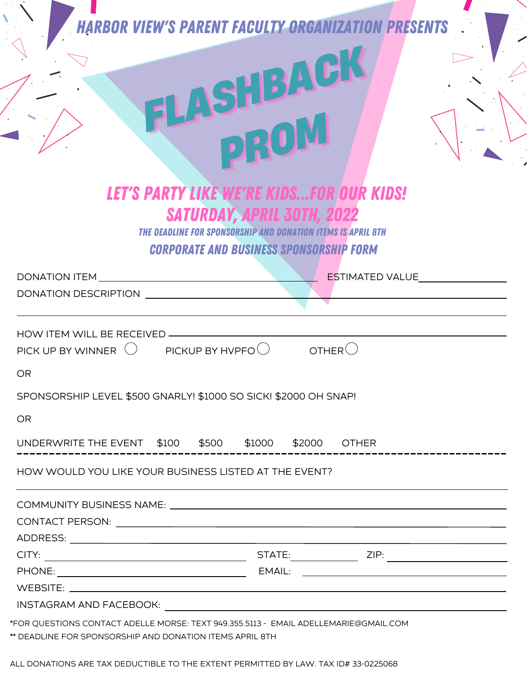|           | <b>HARBOR VIEW'S PARENT FACULTY ORGANIZA</b>                                          |  |                                                      | <b>TION PRESENTS</b>                                                |  |
|-----------|---------------------------------------------------------------------------------------|--|------------------------------------------------------|---------------------------------------------------------------------|--|
|           |                                                                                       |  | ASHBACK<br>DROM<br><b>SATURDAY, APRIL 30TH, 2022</b> | <b>LET'S PARTY LIKE WE'RE KIDSFOR OUR KIDS!</b>                     |  |
|           |                                                                                       |  | <b>CORPORATE AND BUSINESS SPONSORSHIP FORM</b>       | <b>THE DEADLINE FOR SPONSORSHIP AND DONATION ITEMS IS APRIL 8TH</b> |  |
|           | DONATION ITEM DONATION                                                                |  |                                                      | <b>ESTIMATED VALUE</b>                                              |  |
|           | DONATION DESCRIPTION                                                                  |  |                                                      |                                                                     |  |
| <b>OR</b> | HOW ITEM WILL BE RECEIVED -<br>PICK UP BY WINNER $\bigcup$ PICKUP BY HVPFO $\bigcirc$ |  |                                                      | OTHER                                                               |  |
|           | SPONSORSHIP LEVEL \$500 GNARLY! \$1000 SO SICK! \$2000 OH SNAP!                       |  |                                                      |                                                                     |  |
| <b>OR</b> |                                                                                       |  |                                                      |                                                                     |  |
|           | UNDERWRITE THE EVENT \$100 \$500 \$1000 \$2000 OTHER                                  |  |                                                      |                                                                     |  |
|           | HOW WOULD YOU LIKE YOUR BUSINESS LISTED AT THE EVENT?                                 |  |                                                      |                                                                     |  |
|           |                                                                                       |  |                                                      |                                                                     |  |
|           |                                                                                       |  |                                                      |                                                                     |  |
|           |                                                                                       |  |                                                      |                                                                     |  |
|           |                                                                                       |  |                                                      |                                                                     |  |
|           |                                                                                       |  |                                                      |                                                                     |  |
|           |                                                                                       |  |                                                      |                                                                     |  |
|           |                                                                                       |  |                                                      |                                                                     |  |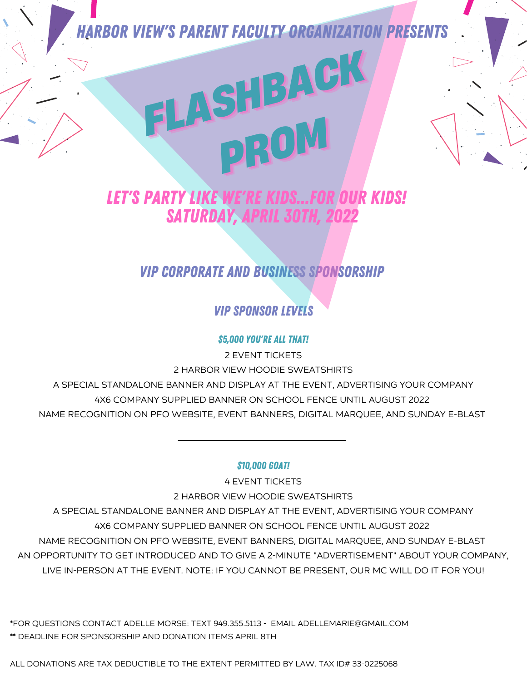*FLASHBACK FLASHBACK FLASHBACK*

*PROM*

### LET'S PARTY LIKE WE'RE KIDS...FOR OUR KIDS! SATURDAY, APRIL 30TH.

### VIP CORPORATE AND BUSINESS SPONSORSHIP

### VIP SPONSOR LEVELS

### \$5,000 YOU'RE ALL THAT!

2 EVENT TICKETS 2 HARBOR VIEW HOODIE SWEATSHIRTS A SPECIAL STANDALONE BANNER AND DISPLAY AT THE EVENT, ADVERTISING YOUR COMPANY 4X6 COMPANY SUPPLIED BANNER ON SCHOOL FENCE UNTIL AUGUST 2022 NAME RECOGNITION ON PFO WEBSITE, EVENT BANNERS, DIGITAL MARQUEE, AND SUNDAY E-BLAST

#### \$10,000 GOAT!

4 EVENT TICKETS 2 HARBOR VIEW HOODIE SWEATSHIRTS

A SPECIAL STANDALONE BANNER AND DISPLAY AT THE EVENT, ADVERTISING YOUR COMPANY 4X6 COMPANY SUPPLIED BANNER ON SCHOOL FENCE UNTIL AUGUST 2022 NAME RECOGNITION ON PFO WEBSITE, EVENT BANNERS, DIGITAL MARQUEE, AND SUNDAY E-BLAST AN OPPORTUNITY TO GET INTRODUCED AND TO GIVE A 2-MINUTE "ADVERTISEMENT" ABOUT YOUR COMPANY, LIVE IN-PERSON AT THE EVENT. NOTE: IF YOU CANNOT BE PRESENT, OUR MC WILL DO IT FOR YOU!

\*FOR QUESTIONS CONTACT ADELLE MORSE: TEXT 949.355.5113 - EMAIL ADELLEMARIE@GMAIL.COM \*\* DEADLINE FOR SPONSORSHIP AND DONATION ITEMS APRIL 8TH